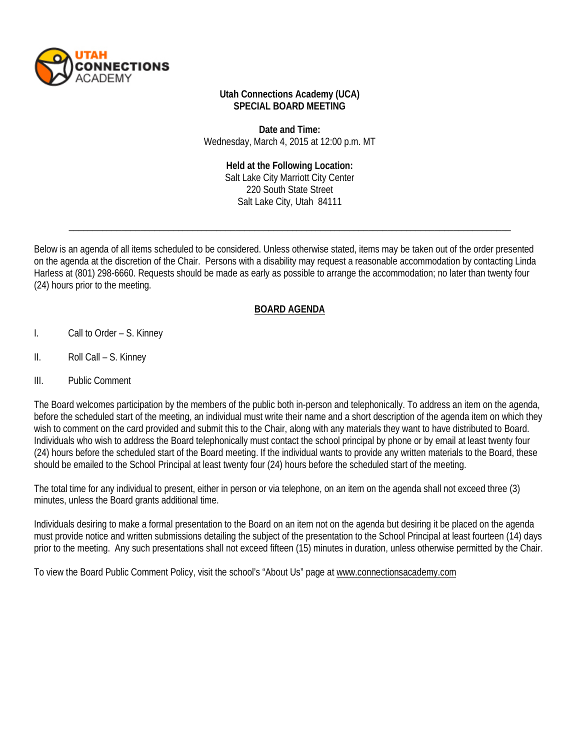

### **Utah Connections Academy (UCA) SPECIAL BOARD MEETING**

**Date and Time:** Wednesday, March 4, 2015 at 12:00 p.m. MT

#### **Held at the Following Location:**

Salt Lake City Marriott City Center 220 South State Street Salt Lake City, Utah 84111

\_\_\_\_\_\_\_\_\_\_\_\_\_\_\_\_\_\_\_\_\_\_\_\_\_\_\_\_\_\_\_\_\_\_\_\_\_\_\_\_\_\_\_\_\_\_\_\_\_\_\_\_\_\_\_\_\_\_\_\_\_\_\_\_\_\_\_\_\_\_\_\_\_\_\_\_\_\_\_\_\_\_\_\_\_\_\_\_\_\_\_\_\_

Below is an agenda of all items scheduled to be considered. Unless otherwise stated, items may be taken out of the order presented on the agenda at the discretion of the Chair. Persons with a disability may request a reasonable accommodation by contacting Linda Harless at (801) 298-6660. Requests should be made as early as possible to arrange the accommodation; no later than twenty four (24) hours prior to the meeting.

## **BOARD AGENDA**

- I. Call to Order S. Kinney
- II. Roll Call S. Kinney
- III. Public Comment

The Board welcomes participation by the members of the public both in-person and telephonically. To address an item on the agenda, before the scheduled start of the meeting, an individual must write their name and a short description of the agenda item on which they wish to comment on the card provided and submit this to the Chair, along with any materials they want to have distributed to Board. Individuals who wish to address the Board telephonically must contact the school principal by phone or by email at least twenty four (24) hours before the scheduled start of the Board meeting. If the individual wants to provide any written materials to the Board, these should be emailed to the School Principal at least twenty four (24) hours before the scheduled start of the meeting.

The total time for any individual to present, either in person or via telephone, on an item on the agenda shall not exceed three (3) minutes, unless the Board grants additional time.

Individuals desiring to make a formal presentation to the Board on an item not on the agenda but desiring it be placed on the agenda must provide notice and written submissions detailing the subject of the presentation to the School Principal at least fourteen (14) days prior to the meeting. Any such presentations shall not exceed fifteen (15) minutes in duration, unless otherwise permitted by the Chair.

To view the Board Public Comment Policy, visit the school's "About Us" page at [www.connectionsacademy.com](http://www.connectionsacademy.com/)